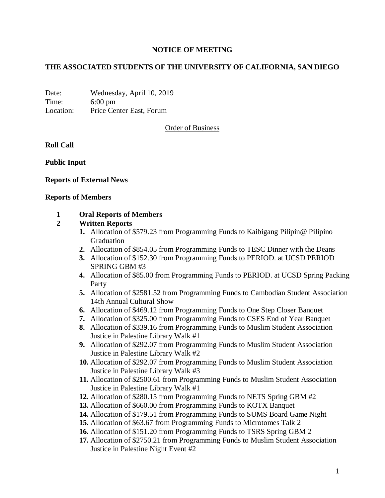## **NOTICE OF MEETING**

# **THE ASSOCIATED STUDENTS OF THE UNIVERSITY OF CALIFORNIA, SAN DIEGO**

Date: Wednesday, April 10, 2019 Time: 6:00 pm Location: Price Center East, Forum

Order of Business

**Roll Call**

**Public Input**

## **Reports of External News**

#### **Reports of Members**

## **1 Oral Reports of Members**

## **2 Written Reports**

- **1.** Allocation of \$579.23 from Programming Funds to Kaibigang Pilipin@ Pilipino Graduation
- **2.** Allocation of \$854.05 from Programming Funds to TESC Dinner with the Deans
- **3.** Allocation of \$152.30 from Programming Funds to PERIOD. at UCSD PERIOD SPRING GBM #3
- **4.** Allocation of \$85.00 from Programming Funds to PERIOD. at UCSD Spring Packing Party
- **5.** Allocation of \$2581.52 from Programming Funds to Cambodian Student Association 14th Annual Cultural Show
- **6.** Allocation of \$469.12 from Programming Funds to One Step Closer Banquet
- **7.** Allocation of \$325.00 from Programming Funds to CSES End of Year Banquet
- **8.** Allocation of \$339.16 from Programming Funds to Muslim Student Association Justice in Palestine Library Walk #1
- **9.** Allocation of \$292.07 from Programming Funds to Muslim Student Association Justice in Palestine Library Walk #2
- **10.** Allocation of \$292.07 from Programming Funds to Muslim Student Association Justice in Palestine Library Walk #3
- **11.** Allocation of \$2500.61 from Programming Funds to Muslim Student Association Justice in Palestine Library Walk #1
- **12.** Allocation of \$280.15 from Programming Funds to NETS Spring GBM #2
- **13.** Allocation of \$660.00 from Programming Funds to KOTX Banquet
- **14.** Allocation of \$179.51 from Programming Funds to SUMS Board Game Night
- **15.** Allocation of \$63.67 from Programming Funds to Microtomes Talk 2
- **16.** Allocation of \$151.20 from Programming Funds to TSRS Spring GBM 2
- **17.** Allocation of \$2750.21 from Programming Funds to Muslim Student Association Justice in Palestine Night Event #2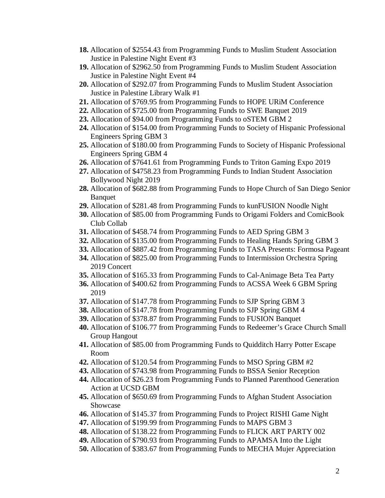- **18.** Allocation of \$2554.43 from Programming Funds to Muslim Student Association Justice in Palestine Night Event #3
- **19.** Allocation of \$2962.50 from Programming Funds to Muslim Student Association Justice in Palestine Night Event #4
- **20.** Allocation of \$292.07 from Programming Funds to Muslim Student Association Justice in Palestine Library Walk #1
- **21.** Allocation of \$769.95 from Programming Funds to HOPE URiM Conference
- **22.** Allocation of \$725.00 from Programming Funds to SWE Banquet 2019
- **23.** Allocation of \$94.00 from Programming Funds to oSTEM GBM 2
- **24.** Allocation of \$154.00 from Programming Funds to Society of Hispanic Professional Engineers Spring GBM 3
- **25.** Allocation of \$180.00 from Programming Funds to Society of Hispanic Professional Engineers Spring GBM 4
- **26.** Allocation of \$7641.61 from Programming Funds to Triton Gaming Expo 2019
- **27.** Allocation of \$4758.23 from Programming Funds to Indian Student Association Bollywood Night 2019
- **28.** Allocation of \$682.88 from Programming Funds to Hope Church of San Diego Senior Banquet
- **29.** Allocation of \$281.48 from Programming Funds to kunFUSION Noodle Night
- **30.** Allocation of \$85.00 from Programming Funds to Origami Folders and ComicBook Club Collab
- **31.** Allocation of \$458.74 from Programming Funds to AED Spring GBM 3
- **32.** Allocation of \$135.00 from Programming Funds to Healing Hands Spring GBM 3
- **33.** Allocation of \$887.42 from Programming Funds to TASA Presents: Formosa Pageant
- **34.** Allocation of \$825.00 from Programming Funds to Intermission Orchestra Spring 2019 Concert
- **35.** Allocation of \$165.33 from Programming Funds to Cal-Animage Beta Tea Party
- **36.** Allocation of \$400.62 from Programming Funds to ACSSA Week 6 GBM Spring 2019
- **37.** Allocation of \$147.78 from Programming Funds to SJP Spring GBM 3
- **38.** Allocation of \$147.78 from Programming Funds to SJP Spring GBM 4
- **39.** Allocation of \$378.87 from Programming Funds to FUSION Banquet
- **40.** Allocation of \$106.77 from Programming Funds to Redeemer's Grace Church Small Group Hangout
- **41.** Allocation of \$85.00 from Programming Funds to Quidditch Harry Potter Escape Room
- **42.** Allocation of \$120.54 from Programming Funds to MSO Spring GBM #2
- **43.** Allocation of \$743.98 from Programming Funds to BSSA Senior Reception
- **44.** Allocation of \$26.23 from Programming Funds to Planned Parenthood Generation Action at UCSD GBM
- **45.** Allocation of \$650.69 from Programming Funds to Afghan Student Association Showcase
- **46.** Allocation of \$145.37 from Programming Funds to Project RISHI Game Night
- **47.** Allocation of \$199.99 from Programming Funds to MAPS GBM 3
- **48.** Allocation of \$138.22 from Programming Funds to FLICK ART PARTY 002
- **49.** Allocation of \$790.93 from Programming Funds to APAMSA Into the Light
- **50.** Allocation of \$383.67 from Programming Funds to MECHA Mujer Appreciation